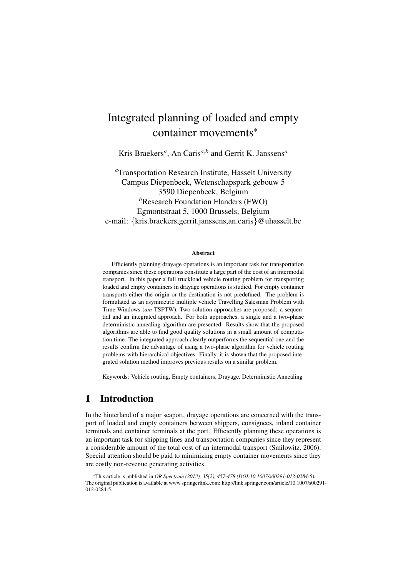# Integrated planning of loaded and empty container movements*<sup>∗</sup>*

Kris Braekers*<sup>a</sup>* , An Caris*a,<sup>b</sup>* and Gerrit K. Janssens*<sup>a</sup>*

*<sup>a</sup>*Transportation Research Institute, Hasselt University Campus Diepenbeek, Wetenschapspark gebouw 5 3590 Diepenbeek, Belgium *b*Research Foundation Flanders (FWO) Egmontstraat 5, 1000 Brussels, Belgium e-mail: *{*kris.braekers,gerrit.janssens,an.caris*}*@uhasselt.be

#### Abstract

Efficiently planning drayage operations is an important task for transportation companies since these operations constitute a large part of the cost of an intermodal transport. In this paper a full truckload vehicle routing problem for transporting loaded and empty containers in drayage operations is studied. For empty container transports either the origin or the destination is not predefined. The problem is formulated as an asymmetric multiple vehicle Travelling Salesman Problem with Time Windows (*am*-TSPTW). Two solution approaches are proposed: a sequential and an integrated approach. For both approaches, a single and a two-phase deterministic annealing algorithm are presented. Results show that the proposed algorithms are able to find good quality solutions in a small amount of computation time. The integrated approach clearly outperforms the sequential one and the results confirm the advantage of using a two-phase algorithm for vehicle routing problems with hierarchical objectives. Finally, it is shown that the proposed integrated solution method improves previous results on a similar problem.

Keywords: Vehicle routing, Empty containers, Drayage, Deterministic Annealing

# 1 Introduction

In the hinterland of a major seaport, drayage operations are concerned with the transport of loaded and empty containers between shippers, consignees, inland container terminals and container terminals at the port. Efficiently planning these operations is an important task for shipping lines and transportation companies since they represent a considerable amount of the total cost of an intermodal transport (Smilowitz, 2006). Special attention should be paid to minimizing empty container movements since they are costly non-revenue generating activities.

*<sup>∗</sup>*This article is published in *OR Spectrum (2013), 35(2), 457-478 (DOI:10.1007/s00291-012-0284-5).* The original publication is available at www.springerlink.com: http://link.springer.com/article/10.1007/s00291- 012-0284-5.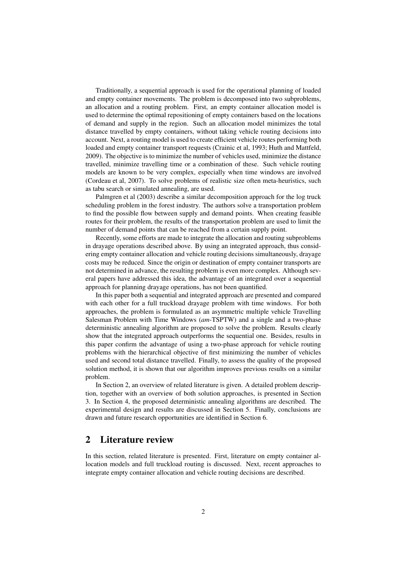Traditionally, a sequential approach is used for the operational planning of loaded and empty container movements. The problem is decomposed into two subproblems, an allocation and a routing problem. First, an empty container allocation model is used to determine the optimal repositioning of empty containers based on the locations of demand and supply in the region. Such an allocation model minimizes the total distance travelled by empty containers, without taking vehicle routing decisions into account. Next, a routing model is used to create efficient vehicle routes performing both loaded and empty container transport requests (Crainic et al, 1993; Huth and Mattfeld, 2009). The objective is to minimize the number of vehicles used, minimize the distance travelled, minimize travelling time or a combination of these. Such vehicle routing models are known to be very complex, especially when time windows are involved (Cordeau et al, 2007). To solve problems of realistic size often meta-heuristics, such as tabu search or simulated annealing, are used.

Palmgren et al (2003) describe a similar decomposition approach for the log truck scheduling problem in the forest industry. The authors solve a transportation problem to find the possible flow between supply and demand points. When creating feasible routes for their problem, the results of the transportation problem are used to limit the number of demand points that can be reached from a certain supply point.

Recently, some efforts are made to integrate the allocation and routing subproblems in drayage operations described above. By using an integrated approach, thus considering empty container allocation and vehicle routing decisions simultaneously, drayage costs may be reduced. Since the origin or destination of empty container transports are not determined in advance, the resulting problem is even more complex. Although several papers have addressed this idea, the advantage of an integrated over a sequential approach for planning drayage operations, has not been quantified.

In this paper both a sequential and integrated approach are presented and compared with each other for a full truckload drayage problem with time windows. For both approaches, the problem is formulated as an asymmetric multiple vehicle Travelling Salesman Problem with Time Windows (*am*-TSPTW) and a single and a two-phase deterministic annealing algorithm are proposed to solve the problem. Results clearly show that the integrated approach outperforms the sequential one. Besides, results in this paper confirm the advantage of using a two-phase approach for vehicle routing problems with the hierarchical objective of first minimizing the number of vehicles used and second total distance travelled. Finally, to assess the quality of the proposed solution method, it is shown that our algorithm improves previous results on a similar problem.

In Section 2, an overview of related literature is given. A detailed problem description, together with an overview of both solution approaches, is presented in Section 3. In Section 4, the proposed deterministic annealing algorithms are described. The experimental design and results are discussed in Section 5. Finally, conclusions are drawn and future research opportunities are identified in Section 6.

### 2 Literature review

In this section, related literature is presented. First, literature on empty container allocation models and full truckload routing is discussed. Next, recent approaches to integrate empty container allocation and vehicle routing decisions are described.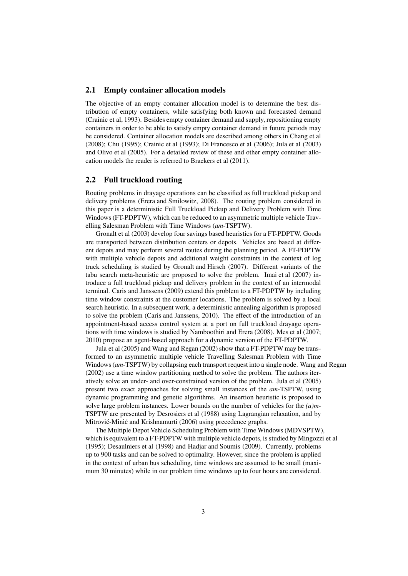### 2.1 Empty container allocation models

The objective of an empty container allocation model is to determine the best distribution of empty containers, while satisfying both known and forecasted demand (Crainic et al, 1993). Besides empty container demand and supply, repositioning empty containers in order to be able to satisfy empty container demand in future periods may be considered. Container allocation models are described among others in Chang et al (2008); Chu (1995); Crainic et al (1993); Di Francesco et al (2006); Jula et al (2003) and Olivo et al (2005). For a detailed review of these and other empty container allocation models the reader is referred to Braekers et al (2011).

#### 2.2 Full truckload routing

Routing problems in drayage operations can be classified as full truckload pickup and delivery problems (Erera and Smilowitz, 2008). The routing problem considered in this paper is a deterministic Full Truckload Pickup and Delivery Problem with Time Windows (FT-PDPTW), which can be reduced to an asymmetric multiple vehicle Travelling Salesman Problem with Time Windows (*am*-TSPTW).

Gronalt et al (2003) develop four savings based heuristics for a FT-PDPTW. Goods are transported between distribution centers or depots. Vehicles are based at different depots and may perform several routes during the planning period. A FT-PDPTW with multiple vehicle depots and additional weight constraints in the context of log truck scheduling is studied by Gronalt and Hirsch (2007). Different variants of the tabu search meta-heuristic are proposed to solve the problem. Imai et al (2007) introduce a full truckload pickup and delivery problem in the context of an intermodal terminal. Caris and Janssens (2009) extend this problem to a FT-PDPTW by including time window constraints at the customer locations. The problem is solved by a local search heuristic. In a subsequent work, a deterministic annealing algorithm is proposed to solve the problem (Caris and Janssens, 2010). The effect of the introduction of an appointment-based access control system at a port on full truckload drayage operations with time windows is studied by Namboothiri and Erera (2008). Mes et al (2007; 2010) propose an agent-based approach for a dynamic version of the FT-PDPTW.

Jula et al (2005) and Wang and Regan (2002) show that a FT-PDPTW may be transformed to an asymmetric multiple vehicle Travelling Salesman Problem with Time Windows (*am*-TSPTW) by collapsing each transport request into a single node. Wang and Regan (2002) use a time window partitioning method to solve the problem. The authors iteratively solve an under- and over-constrained version of the problem. Jula et al (2005) present two exact approaches for solving small instances of the *am*-TSPTW, using dynamic programming and genetic algorithms. An insertion heuristic is proposed to solve large problem instances. Lower bounds on the number of vehicles for the *(a)m*-TSPTW are presented by Desrosiers et al (1988) using Lagrangian relaxation, and by Mitrović-Minić and Krishnamurti (2006) using precedence graphs.

The Multiple Depot Vehicle Scheduling Problem with Time Windows (MDVSPTW), which is equivalent to a FT-PDPTW with multiple vehicle depots, is studied by Mingozzi et al (1995); Desaulniers et al (1998) and Hadjar and Soumis (2009). Currently, problems up to 900 tasks and can be solved to optimality. However, since the problem is applied in the context of urban bus scheduling, time windows are assumed to be small (maximum 30 minutes) while in our problem time windows up to four hours are considered.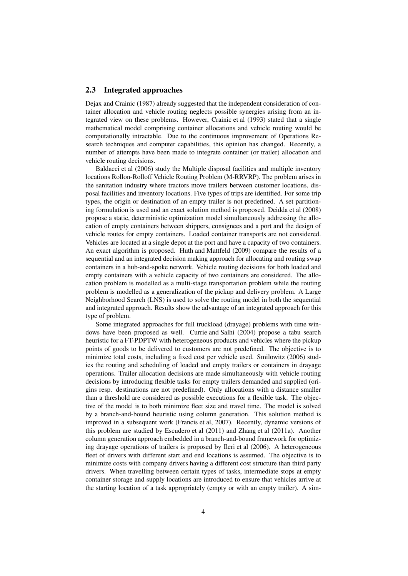### 2.3 Integrated approaches

Dejax and Crainic (1987) already suggested that the independent consideration of container allocation and vehicle routing neglects possible synergies arising from an integrated view on these problems. However, Crainic et al (1993) stated that a single mathematical model comprising container allocations and vehicle routing would be computationally intractable. Due to the continuous improvement of Operations Research techniques and computer capabilities, this opinion has changed. Recently, a number of attempts have been made to integrate container (or trailer) allocation and vehicle routing decisions.

Baldacci et al (2006) study the Multiple disposal facilities and multiple inventory locations Rollon-Rolloff Vehicle Routing Problem (M-RRVRP). The problem arises in the sanitation industry where tractors move trailers between customer locations, disposal facilities and inventory locations. Five types of trips are identified. For some trip types, the origin or destination of an empty trailer is not predefined. A set partitioning formulation is used and an exact solution method is proposed. Deidda et al (2008) propose a static, deterministic optimization model simultaneously addressing the allocation of empty containers between shippers, consignees and a port and the design of vehicle routes for empty containers. Loaded container transports are not considered. Vehicles are located at a single depot at the port and have a capacity of two containers. An exact algorithm is proposed. Huth and Mattfeld (2009) compare the results of a sequential and an integrated decision making approach for allocating and routing swap containers in a hub-and-spoke network. Vehicle routing decisions for both loaded and empty containers with a vehicle capacity of two containers are considered. The allocation problem is modelled as a multi-stage transportation problem while the routing problem is modelled as a generalization of the pickup and delivery problem. A Large Neighborhood Search (LNS) is used to solve the routing model in both the sequential and integrated approach. Results show the advantage of an integrated approach for this type of problem.

Some integrated approaches for full truckload (drayage) problems with time windows have been proposed as well. Currie and Salhi (2004) propose a tabu search heuristic for a FT-PDPTW with heterogeneous products and vehicles where the pickup points of goods to be delivered to customers are not predefined. The objective is to minimize total costs, including a fixed cost per vehicle used. Smilowitz (2006) studies the routing and scheduling of loaded and empty trailers or containers in drayage operations. Trailer allocation decisions are made simultaneously with vehicle routing decisions by introducing flexible tasks for empty trailers demanded and supplied (origins resp. destinations are not predefined). Only allocations with a distance smaller than a threshold are considered as possible executions for a flexible task. The objective of the model is to both minimize fleet size and travel time. The model is solved by a branch-and-bound heuristic using column generation. This solution method is improved in a subsequent work (Francis et al, 2007). Recently, dynamic versions of this problem are studied by Escudero et al (2011) and Zhang et al (2011a). Another column generation approach embedded in a branch-and-bound framework for optimizing drayage operations of trailers is proposed by Ileri et al (2006). A heterogeneous fleet of drivers with different start and end locations is assumed. The objective is to minimize costs with company drivers having a different cost structure than third party drivers. When travelling between certain types of tasks, intermediate stops at empty container storage and supply locations are introduced to ensure that vehicles arrive at the starting location of a task appropriately (empty or with an empty trailer). A sim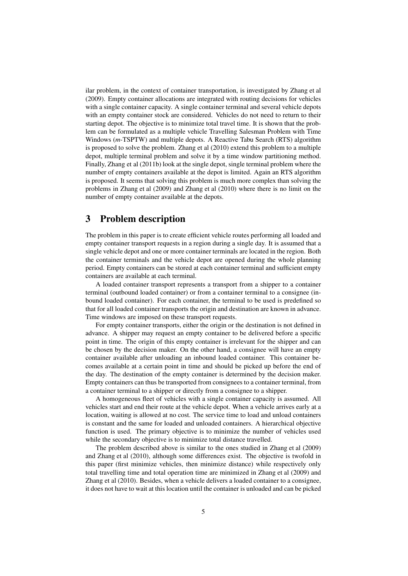ilar problem, in the context of container transportation, is investigated by Zhang et al (2009). Empty container allocations are integrated with routing decisions for vehicles with a single container capacity. A single container terminal and several vehicle depots with an empty container stock are considered. Vehicles do not need to return to their starting depot. The objective is to minimize total travel time. It is shown that the problem can be formulated as a multiple vehicle Travelling Salesman Problem with Time Windows (*m*-TSPTW) and multiple depots. A Reactive Tabu Search (RTS) algorithm is proposed to solve the problem. Zhang et al (2010) extend this problem to a multiple depot, multiple terminal problem and solve it by a time window partitioning method. Finally, Zhang et al (2011b) look at the single depot, single terminal problem where the number of empty containers available at the depot is limited. Again an RTS algorithm is proposed. It seems that solving this problem is much more complex than solving the problems in Zhang et al (2009) and Zhang et al (2010) where there is no limit on the number of empty container available at the depots.

# 3 Problem description

The problem in this paper is to create efficient vehicle routes performing all loaded and empty container transport requests in a region during a single day. It is assumed that a single vehicle depot and one or more container terminals are located in the region. Both the container terminals and the vehicle depot are opened during the whole planning period. Empty containers can be stored at each container terminal and sufficient empty containers are available at each terminal.

A loaded container transport represents a transport from a shipper to a container terminal (outbound loaded container) or from a container terminal to a consignee (inbound loaded container). For each container, the terminal to be used is predefined so that for all loaded container transports the origin and destination are known in advance. Time windows are imposed on these transport requests.

For empty container transports, either the origin or the destination is not defined in advance. A shipper may request an empty container to be delivered before a specific point in time. The origin of this empty container is irrelevant for the shipper and can be chosen by the decision maker. On the other hand, a consignee will have an empty container available after unloading an inbound loaded container. This container becomes available at a certain point in time and should be picked up before the end of the day. The destination of the empty container is determined by the decision maker. Empty containers can thus be transported from consignees to a container terminal, from a container terminal to a shipper or directly from a consignee to a shipper.

A homogeneous fleet of vehicles with a single container capacity is assumed. All vehicles start and end their route at the vehicle depot. When a vehicle arrives early at a location, waiting is allowed at no cost. The service time to load and unload containers is constant and the same for loaded and unloaded containers. A hierarchical objective function is used. The primary objective is to minimize the number of vehicles used while the secondary objective is to minimize total distance travelled.

The problem described above is similar to the ones studied in Zhang et al (2009) and Zhang et al (2010), although some differences exist. The objective is twofold in this paper (first minimize vehicles, then minimize distance) while respectively only total travelling time and total operation time are minimized in Zhang et al (2009) and Zhang et al (2010). Besides, when a vehicle delivers a loaded container to a consignee, it does not have to wait at this location until the container is unloaded and can be picked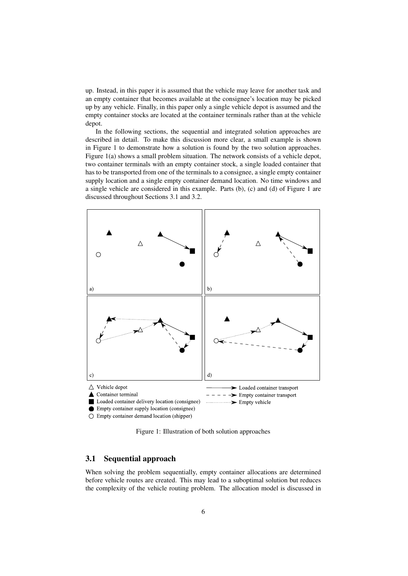up. Instead, in this paper it is assumed that the vehicle may leave for another task and an empty container that becomes available at the consignee's location may be picked up by any vehicle. Finally, in this paper only a single vehicle depot is assumed and the empty container stocks are located at the container terminals rather than at the vehicle depot.

In the following sections, the sequential and integrated solution approaches are described in detail. To make this discussion more clear, a small example is shown in Figure 1 to demonstrate how a solution is found by the two solution approaches. Figure 1(a) shows a small problem situation. The network consists of a vehicle depot, two container terminals with an empty container stock, a single loaded container that has to be transported from one of the terminals to a consignee, a single empty container supply location and a single empty container demand location. No time windows and a single vehicle are considered in this example. Parts (b), (c) and (d) of Figure 1 are discussed throughout Sections 3.1 and 3.2.



Figure 1: Illustration of both solution approaches

### 3.1 Sequential approach

When solving the problem sequentially, empty container allocations are determined before vehicle routes are created. This may lead to a suboptimal solution but reduces the complexity of the vehicle routing problem. The allocation model is discussed in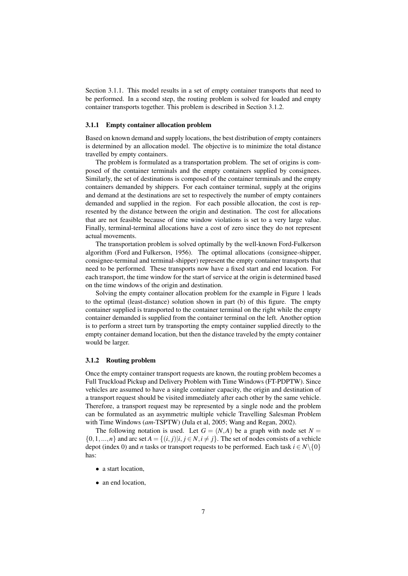Section 3.1.1. This model results in a set of empty container transports that need to be performed. In a second step, the routing problem is solved for loaded and empty container transports together. This problem is described in Section 3.1.2.

#### 3.1.1 Empty container allocation problem

Based on known demand and supply locations, the best distribution of empty containers is determined by an allocation model. The objective is to minimize the total distance travelled by empty containers.

The problem is formulated as a transportation problem. The set of origins is composed of the container terminals and the empty containers supplied by consignees. Similarly, the set of destinations is composed of the container terminals and the empty containers demanded by shippers. For each container terminal, supply at the origins and demand at the destinations are set to respectively the number of empty containers demanded and supplied in the region. For each possible allocation, the cost is represented by the distance between the origin and destination. The cost for allocations that are not feasible because of time window violations is set to a very large value. Finally, terminal-terminal allocations have a cost of zero since they do not represent actual movements.

The transportation problem is solved optimally by the well-known Ford-Fulkerson algorithm (Ford and Fulkerson, 1956). The optimal allocations (consignee-shipper, consignee-terminal and terminal-shipper) represent the empty container transports that need to be performed. These transports now have a fixed start and end location. For each transport, the time window for the start of service at the origin is determined based on the time windows of the origin and destination.

Solving the empty container allocation problem for the example in Figure 1 leads to the optimal (least-distance) solution shown in part (b) of this figure. The empty container supplied is transported to the container terminal on the right while the empty container demanded is supplied from the container terminal on the left. Another option is to perform a street turn by transporting the empty container supplied directly to the empty container demand location, but then the distance traveled by the empty container would be larger.

#### 3.1.2 Routing problem

Once the empty container transport requests are known, the routing problem becomes a Full Truckload Pickup and Delivery Problem with Time Windows (FT-PDPTW). Since vehicles are assumed to have a single container capacity, the origin and destination of a transport request should be visited immediately after each other by the same vehicle. Therefore, a transport request may be represented by a single node and the problem can be formulated as an asymmetric multiple vehicle Travelling Salesman Problem with Time Windows (*am*-TSPTW) (Jula et al, 2005; Wang and Regan, 2002).

The following notation is used. Let  $G = (N, A)$  be a graph with node set  $N =$  $\{0, 1, ..., n\}$  and arc set  $A = \{(i, j) | i, j \in N, i \neq j\}$ . The set of nodes consists of a vehicle depot (index 0) and *n* tasks or transport requests to be performed. Each task  $i \in N \setminus \{0\}$ has:

- a start location.
- an end location,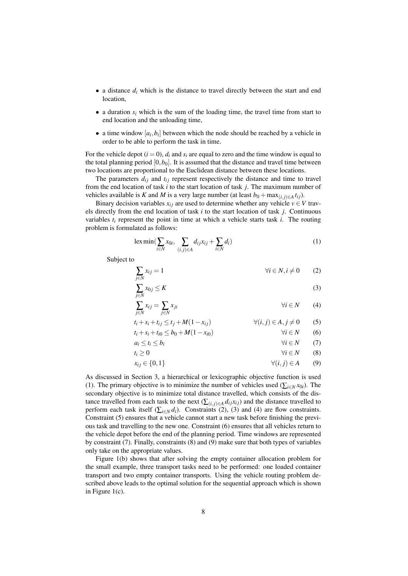- a distance  $d_i$  which is the distance to travel directly between the start and end location,
- *•* a duration *s<sup>i</sup>* which is the sum of the loading time, the travel time from start to end location and the unloading time,
- a time window  $[a_i, b_i]$  between which the node should be reached by a vehicle in order to be able to perform the task in time.

For the vehicle depot  $(i = 0)$ ,  $d_i$  and  $s_i$  are equal to zero and the time window is equal to the total planning period  $[0, b_0]$ . It is assumed that the distance and travel time between two locations are proportional to the Euclidean distance between these locations.

The parameters  $d_{ij}$  and  $t_{ij}$  represent respectively the distance and time to travel from the end location of task *i* to the start location of task *j*. The maximum number of vehicles available is *K* and *M* is a very large number (at least  $b_0 + \max_{(i,j)\in A} t_{ij}$ ).

Binary decision variables  $x_{ij}$  are used to determine whether any vehicle  $v \in V$  travels directly from the end location of task *i* to the start location of task *j*. Continuous variables  $t_i$  represent the point in time at which a vehicle starts task  $i$ . The routing problem is formulated as follows:

$$
\operatorname{lex} \min(\sum_{i \in N} x_{0i}, \sum_{(i,j) \in A} d_{ij} x_{ij} + \sum_{i \in N} d_i)
$$
 (1)

Subject to

$$
\sum_{j \in N} x_{ij} = 1 \qquad \qquad \forall i \in N, i \neq 0 \qquad (2)
$$

$$
\sum_{j \in N} x_{0j} \le K \tag{3}
$$

$$
\sum_{j \in N} x_{ij} = \sum_{j \in N} x_{ji} \qquad \qquad \forall i \in N \qquad (4)
$$

$$
t_i + s_i + t_{ij} \le t_j + M(1 - x_{ij}) \qquad \qquad \forall (i, j) \in A, j \ne 0 \qquad (5)
$$

$$
t_i + s_i + t_{i0} \le b_0 + M(1 - x_{i0}) \qquad \qquad \forall i \in N \qquad (6)
$$

$$
a_i \le t_i \le b_i \qquad \forall i \in N \qquad (7)
$$

$$
t_i \ge 0 \qquad \qquad \forall i \in N \qquad (8)
$$

$$
x_{ij} \in \{0, 1\} \qquad \forall (i, j) \in A \qquad (9)
$$

As discussed in Section 3, a hierarchical or lexicographic objective function is used (1). The primary objective is to minimize the number of vehicles used ( $\sum_{i \in N} x_{0i}$ ). The secondary objective is to minimize total distance travelled, which consists of the distance travelled from each task to the next  $(\sum_{(i,j)\in A} d_{ij}x_{ij})$  and the distance travelled to perform each task itself  $(\sum_{i \in N} d_i)$ . Constraints (2), (3) and (4) are flow constraints. Constraint (5) ensures that a vehicle cannot start a new task before finishing the previous task and travelling to the new one. Constraint (6) ensures that all vehicles return to the vehicle depot before the end of the planning period. Time windows are represented by constraint (7). Finally, constraints (8) and (9) make sure that both types of variables only take on the appropriate values.

Figure 1(b) shows that after solving the empty container allocation problem for the small example, three transport tasks need to be performed: one loaded container transport and two empty container transports. Using the vehicle routing problem described above leads to the optimal solution for the sequential approach which is shown in Figure 1(c).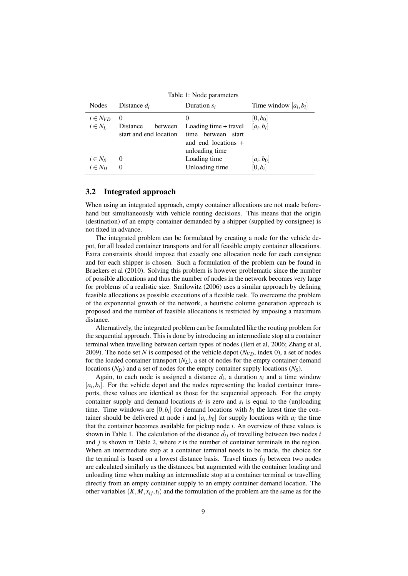|                | Table 1: Node parameters |                       |                          |  |  |  |
|----------------|--------------------------|-----------------------|--------------------------|--|--|--|
| Nodes          | Distance $d_i$           | Duration $s_i$        | Time window $[a_i, b_i]$ |  |  |  |
| $i \in N_{VD}$ | $\theta$                 | 0                     | $[0, b_0]$               |  |  |  |
| $i \in N_L$    | Distance<br>between      | Loading time + travel | $[a_i,b_i]$              |  |  |  |
|                | start and end location   | time between<br>start |                          |  |  |  |
|                |                          | and end locations +   |                          |  |  |  |
|                |                          | unloading time        |                          |  |  |  |
| $i \in N_{S}$  | $\theta$                 | Loading time          | $[a_i,b_0]$              |  |  |  |
| $i \in N_D$    | 0                        | Unloading time        | $[0,b_i]$                |  |  |  |

 $T_2L1_2$  1:  $N_2A$ 

#### 3.2 Integrated approach

When using an integrated approach, empty container allocations are not made beforehand but simultaneously with vehicle routing decisions. This means that the origin (destination) of an empty container demanded by a shipper (supplied by consignee) is not fixed in advance.

The integrated problem can be formulated by creating a node for the vehicle depot, for all loaded container transports and for all feasible empty container allocations. Extra constraints should impose that exactly one allocation node for each consignee and for each shipper is chosen. Such a formulation of the problem can be found in Braekers et al (2010). Solving this problem is however problematic since the number of possible allocations and thus the number of nodes in the network becomes very large for problems of a realistic size. Smilowitz (2006) uses a similar approach by defining feasible allocations as possible executions of a flexible task. To overcome the problem of the exponential growth of the network, a heuristic column generation approach is proposed and the number of feasible allocations is restricted by imposing a maximum distance.

Alternatively, the integrated problem can be formulated like the routing problem for the sequential approach. This is done by introducing an intermediate stop at a container terminal when travelling between certain types of nodes (Ileri et al, 2006; Zhang et al, 2009). The node set N is composed of the vehicle depot  $(N_{VD}, \text{index } 0)$ , a set of nodes for the loaded container transport  $(N_L)$ , a set of nodes for the empty container demand locations (*ND*) and a set of nodes for the empty container supply locations (*NS*).

Again, to each node is assigned a distance  $d_i$ , a duration  $s_i$  and a time window  $[a_i, b_i]$ . For the vehicle depot and the nodes representing the loaded container transports, these values are identical as those for the sequential approach. For the empty container supply and demand locations  $d_i$  is zero and  $s_i$  is equal to the (un)loading time. Time windows are  $[0, b_i]$  for demand locations with  $b_i$  the latest time the container should be delivered at node *i* and  $[a_i, b_0]$  for supply locations with  $a_i$  the time that the container becomes available for pickup node *i*. An overview of these values is shown in Table 1. The calculation of the distance  $\hat{d}_{ij}$  of travelling between two nodes *i* and  $j$  is shown in Table 2, where  $r$  is the number of container terminals in the region. When an intermediate stop at a container terminal needs to be made, the choice for the terminal is based on a lowest distance basis. Travel times  $\hat{t}_{ij}$  between two nodes are calculated similarly as the distances, but augmented with the container loading and unloading time when making an intermediate stop at a container terminal or travelling directly from an empty container supply to an empty container demand location. The other variables  $(K, M, x_i, t_i)$  and the formulation of the problem are the same as for the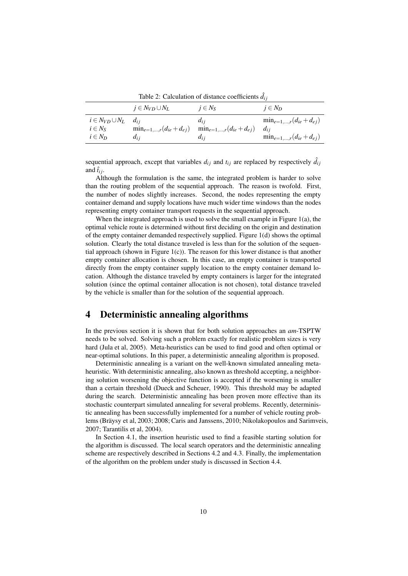Table 2: Calculation of distance coefficients  $\hat{d}_{ij}$ 

|                                                                  | $j \in N_{VD} \cup N_L$                    | $j \in N_{\rm S}$                                      | $i \in N_D$                                                                  |
|------------------------------------------------------------------|--------------------------------------------|--------------------------------------------------------|------------------------------------------------------------------------------|
| $i \in N_{VD} \cup N_L$ $d_{ij}$<br>$i \in N_{S}$<br>$i \in N_D$ | $\min_{e=1,,r}(d_{ie}+d_{ej})$<br>$d_{ij}$ | $a_{ii}$<br>$\min_{e=1,,r}(d_{ie}+d_{ej})$<br>$d_{ij}$ | $\min_{e=1,,r}(d_{ie}+d_{ej})$<br>$d_{ij}$<br>$\min_{e=1,,r}(d_{ie}+d_{ej})$ |

sequential approach, except that variables  $d_{ij}$  and  $t_{ij}$  are replaced by respectively  $\hat{d}_{ij}$ and  $\hat{t}_{ij}$ .

Although the formulation is the same, the integrated problem is harder to solve than the routing problem of the sequential approach. The reason is twofold. First, the number of nodes slightly increases. Second, the nodes representing the empty container demand and supply locations have much wider time windows than the nodes representing empty container transport requests in the sequential approach.

When the integrated approach is used to solve the small example in Figure 1(a), the optimal vehicle route is determined without first deciding on the origin and destination of the empty container demanded respectively supplied. Figure 1(d) shows the optimal solution. Clearly the total distance traveled is less than for the solution of the sequential approach (shown in Figure  $1(c)$ ). The reason for this lower distance is that another empty container allocation is chosen. In this case, an empty container is transported directly from the empty container supply location to the empty container demand location. Although the distance traveled by empty containers is larger for the integrated solution (since the optimal container allocation is not chosen), total distance traveled by the vehicle is smaller than for the solution of the sequential approach.

# 4 Deterministic annealing algorithms

In the previous section it is shown that for both solution approaches an *am*-TSPTW needs to be solved. Solving such a problem exactly for realistic problem sizes is very hard (Jula et al, 2005). Meta-heuristics can be used to find good and often optimal or near-optimal solutions. In this paper, a deterministic annealing algorithm is proposed.

Deterministic annealing is a variant on the well-known simulated annealing metaheuristic. With deterministic annealing, also known as threshold accepting, a neighboring solution worsening the objective function is accepted if the worsening is smaller than a certain threshold (Dueck and Scheuer, 1990). This threshold may be adapted during the search. Deterministic annealing has been proven more effective than its stochastic counterpart simulated annealing for several problems. Recently, deterministic annealing has been successfully implemented for a number of vehicle routing problems (Bräysy et al, 2003; 2008; Caris and Janssens, 2010; Nikolakopoulos and Sarimveis, 2007; Tarantilis et al, 2004).

In Section 4.1, the insertion heuristic used to find a feasible starting solution for the algorithm is discussed. The local search operators and the deterministic annealing scheme are respectively described in Sections 4.2 and 4.3. Finally, the implementation of the algorithm on the problem under study is discussed in Section 4.4.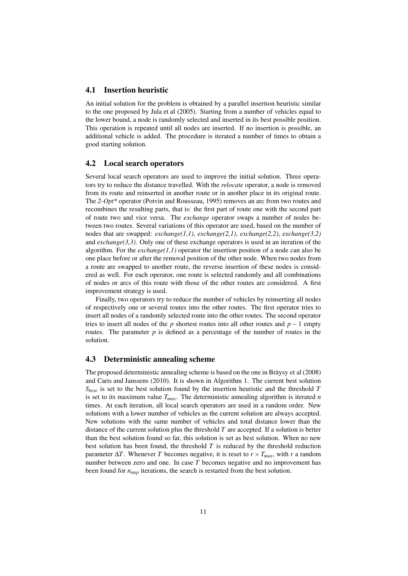#### 4.1 Insertion heuristic

An initial solution for the problem is obtained by a parallel insertion heuristic similar to the one proposed by Jula et al (2005). Starting from a number of vehicles equal to the lower bound, a node is randomly selected and inserted in its best possible position. This operation is repeated until all nodes are inserted. If no insertion is possible, an additional vehicle is added. The procedure is iterated a number of times to obtain a good starting solution.

### 4.2 Local search operators

Several local search operators are used to improve the initial solution. Three operators try to reduce the distance travelled. With the *relocate* operator, a node is removed from its route and reinserted in another route or in another place in its original route. The *2-Opt\** operator (Potvin and Rousseau, 1995) removes an arc from two routes and recombines the resulting parts, that is: the first part of route one with the second part of route two and vice versa. The *exchange* operator swaps a number of nodes between two routes. Several variations of this operator are used, based on the number of nodes that are swapped: *exchange(1,1)*, *exchange(2,1)*, *exchange(2,2)*, *exchange(3,2)* and *exchange(3,3)*. Only one of these exchange operators is used in an iteration of the algorithm. For the *exchange(1,1)* operator the insertion position of a node can also be one place before or after the removal position of the other node. When two nodes from a route are swapped to another route, the reverse insertion of these nodes is considered as well. For each operator, one route is selected randomly and all combinations of nodes or arcs of this route with those of the other routes are considered. A first improvement strategy is used.

Finally, two operators try to reduce the number of vehicles by reinserting all nodes of respectively one or several routes into the other routes. The first operator tries to insert all nodes of a randomly selected route into the other routes. The second operator tries to insert all nodes of the *p* shortest routes into all other routes and *p −* 1 empty routes. The parameter  $p$  is defined as a percentage of the number of routes in the solution.

### 4.3 Deterministic annealing scheme

The proposed deterministic annealing scheme is based on the one in Bräysy et al  $(2008)$ and Caris and Janssens (2010). It is shown in Algorithm 1. The current best solution *Sbest* is set to the best solution found by the insertion heuristic and the threshold *T* is set to its maximum value *Tmax*. The deterministic annealing algorithm is iterated *n* times. At each iteration, all local search operators are used in a random order. New solutions with a lower number of vehicles as the current solution are always accepted. New solutions with the same number of vehicles and total distance lower than the distance of the current solution plus the threshold *T* are accepted. If a solution is better than the best solution found so far, this solution is set as best solution. When no new best solution has been found, the threshold *T* is reduced by the threshold reduction parameter  $\Delta T$ . Whenever *T* becomes negative, it is reset to  $r \times T_{max}$ , with *r* a random number between zero and one. In case *T* becomes negative and no improvement has been found for *nimp* iterations, the search is restarted from the best solution.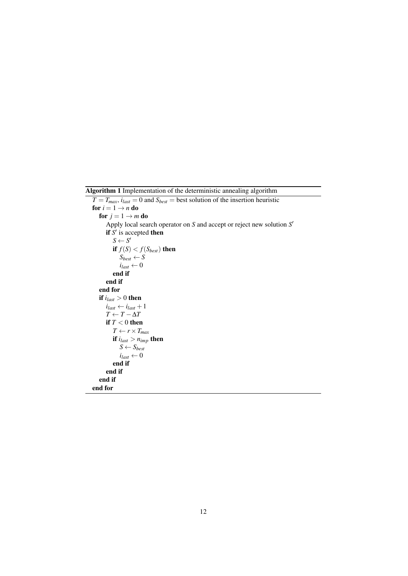Algorithm 1 Implementation of the deterministic annealing algorithm

```
T = T_{max}, i_{last} = 0 and S_{best} = best solution of the insertion heuristic
for i = 1 \rightarrow n do
   for j = 1 \rightarrow m do
       Apply local search operator on S and accept or reject new solution S
′
       if S
′
is accepted then
          S \leftarrow S'if f(S) < f(S_{best}) then
             S_{best} \leftarrow Si_{last} \leftarrow 0end if
      end if
   end for
   if i_{last} > 0 then
       i_{last} \leftarrow i_{last} + 1T \leftarrow T - \Delta Tif T < 0 then
          T \leftarrow r \times T_{max}if i_{last} > n_{imp} then
             S \leftarrow S_{best}i_{last} \leftarrow 0end if
      end if
   end if
end for
```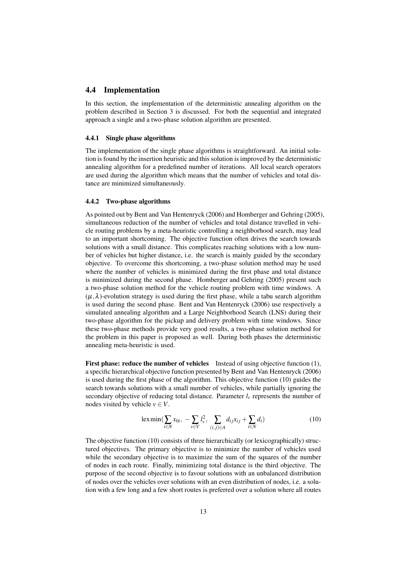#### 4.4 Implementation

In this section, the implementation of the deterministic annealing algorithm on the problem described in Section 3 is discussed. For both the sequential and integrated approach a single and a two-phase solution algorithm are presented.

#### 4.4.1 Single phase algorithms

The implementation of the single phase algorithms is straightforward. An initial solution is found by the insertion heuristic and this solution is improved by the deterministic annealing algorithm for a predefined number of iterations. All local search operators are used during the algorithm which means that the number of vehicles and total distance are minimized simultaneously.

#### 4.4.2 Two-phase algorithms

As pointed out by Bent and Van Hentenryck (2006) and Homberger and Gehring (2005), simultaneous reduction of the number of vehicles and total distance travelled in vehicle routing problems by a meta-heuristic controlling a neighborhood search, may lead to an important shortcoming. The objective function often drives the search towards solutions with a small distance. This complicates reaching solutions with a low number of vehicles but higher distance, i.e. the search is mainly guided by the secondary objective. To overcome this shortcoming, a two-phase solution method may be used where the number of vehicles is minimized during the first phase and total distance is minimized during the second phase. Homberger and Gehring (2005) present such a two-phase solution method for the vehicle routing problem with time windows. A  $(\mu, \lambda)$ -evolution strategy is used during the first phase, while a tabu search algorithm is used during the second phase. Bent and Van Hentenryck (2006) use respectively a simulated annealing algorithm and a Large Neighborhood Search (LNS) during their two-phase algorithm for the pickup and delivery problem with time windows. Since these two-phase methods provide very good results, a two-phase solution method for the problem in this paper is proposed as well. During both phases the deterministic annealing meta-heuristic is used.

First phase: reduce the number of vehicles Instead of using objective function (1), a specific hierarchical objective function presented by Bent and Van Hentenryck (2006) is used during the first phase of the algorithm. This objective function (10) guides the search towards solutions with a small number of vehicles, while partially ignoring the secondary objective of reducing total distance. Parameter  $l<sub>v</sub>$  represents the number of nodes visited by vehicle  $v \in V$ .

$$
\operatorname{lex} \min(\sum_{i \in N} x_{0i}, -\sum_{v \in V} l_v^2, \sum_{(i,j) \in A} d_{ij} x_{ij} + \sum_{i \in N} d_i)
$$
(10)

The objective function (10) consists of three hierarchically (or lexicographically) structured objectives. The primary objective is to minimize the number of vehicles used while the secondary objective is to maximize the sum of the squares of the number of nodes in each route. Finally, minimizing total distance is the third objective. The purpose of the second objective is to favour solutions with an unbalanced distribution of nodes over the vehicles over solutions with an even distribution of nodes, i.e. a solution with a few long and a few short routes is preferred over a solution where all routes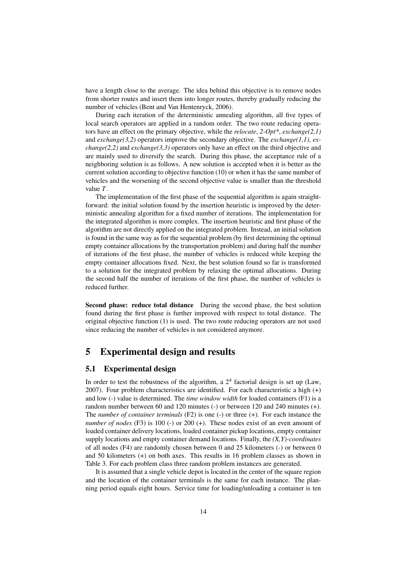have a length close to the average. The idea behind this objective is to remove nodes from shorter routes and insert them into longer routes, thereby gradually reducing the number of vehicles (Bent and Van Hentenryck, 2006).

During each iteration of the deterministic annealing algorithm, all five types of local search operators are applied in a random order. The two route reducing operators have an effect on the primary objective, while the *relocate*, *2-Opt\**, *exchange(2,1)* and *exchange(3,2)* operators improve the secondary objective. The *exchange(1,1)*, *exchange(2,2)* and *exchange(3,3)* operators only have an effect on the third objective and are mainly used to diversify the search. During this phase, the acceptance rule of a neighboring solution is as follows. A new solution is accepted when it is better as the current solution according to objective function (10) or when it has the same number of vehicles and the worsening of the second objective value is smaller than the threshold value *T*.

The implementation of the first phase of the sequential algorithm is again straightforward: the initial solution found by the insertion heuristic is improved by the deterministic annealing algorithm for a fixed number of iterations. The implementation for the integrated algorithm is more complex. The insertion heuristic and first phase of the algorithm are not directly applied on the integrated problem. Instead, an initial solution is found in the same way as for the sequential problem (by first determining the optimal empty container allocations by the transportation problem) and during half the number of iterations of the first phase, the number of vehicles is reduced while keeping the empty container allocations fixed. Next, the best solution found so far is transformed to a solution for the integrated problem by relaxing the optimal allocations. During the second half the number of iterations of the first phase, the number of vehicles is reduced further.

Second phase: reduce total distance During the second phase, the best solution found during the first phase is further improved with respect to total distance. The original objective function (1) is used. The two route reducing operators are not used since reducing the number of vehicles is not considered anymore.

# 5 Experimental design and results

#### 5.1 Experimental design

In order to test the robustness of the algorithm, a  $2<sup>4</sup>$  factorial design is set up (Law, 2007). Four problem characteristics are identified. For each characteristic a high (+) and low (-) value is determined. The *time window width* for loaded containers (F1) is a random number between 60 and 120 minutes (-) or between 120 and 240 minutes (+). The *number of container terminals* (F2) is one (-) or three (+). For each instance the *number of nodes* (F3) is 100 (-) or 200 (+). These nodes exist of an even amount of loaded container delivery locations, loaded container pickup locations, empty container supply locations and empty container demand locations. Finally, the *(X,Y)-coordinates* of all nodes (F4) are randomly chosen between 0 and 25 kilometers (-) or between 0 and 50 kilometers (+) on both axes. This results in 16 problem classes as shown in Table 3. For each problem class three random problem instances are generated.

It is assumed that a single vehicle depot is located in the center of the square region and the location of the container terminals is the same for each instance. The planning period equals eight hours. Service time for loading/unloading a container is ten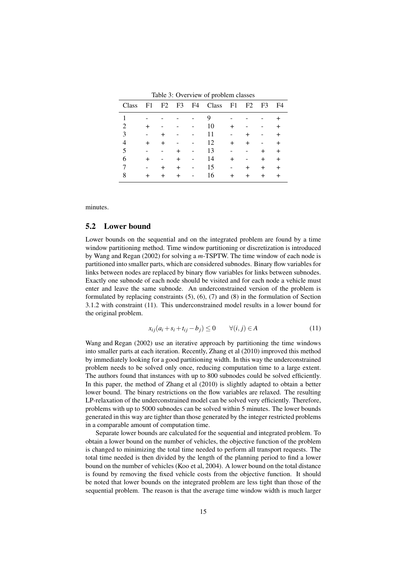Table 3: Overview of problem classes

| Class | F1 | F2    | F <sub>3</sub> | F4 | Class | F1        | F2    | F3    | F4     |
|-------|----|-------|----------------|----|-------|-----------|-------|-------|--------|
|       |    |       |                |    | 9     |           |       |       |        |
| 2     |    |       |                |    | 10    | $\ddot{}$ |       |       |        |
| 3     |    | ٠     |                |    | 11    |           |       |       |        |
| 4     |    | +     |                |    | 12    | $\pm$     | ┿     |       |        |
| 5     |    |       |                |    | 13    |           |       |       |        |
| 6     |    |       |                |    | 14    | $\,{}^+$  |       | $\pm$ |        |
|       |    | $\pm$ | $\pm$          |    | 15    |           | $\pm$ | $\pm$ | $\div$ |
| 8     |    | $\pm$ | +              |    | 16    | $\pm$     | $\pm$ | $\pm$ |        |

minutes.

#### 5.2 Lower bound

Lower bounds on the sequential and on the integrated problem are found by a time window partitioning method. Time window partitioning or discretization is introduced by Wang and Regan (2002) for solving a *m*-TSPTW. The time window of each node is partitioned into smaller parts, which are considered subnodes. Binary flow variables for links between nodes are replaced by binary flow variables for links between subnodes. Exactly one subnode of each node should be visited and for each node a vehicle must enter and leave the same subnode. An underconstrained version of the problem is formulated by replacing constraints (5), (6), (7) and (8) in the formulation of Section 3.1.2 with constraint (11). This underconstrained model results in a lower bound for the original problem.

$$
x_{ij}(a_i + s_i + t_{ij} - b_j) \le 0 \qquad \forall (i, j) \in A \tag{11}
$$

Wang and Regan (2002) use an iterative approach by partitioning the time windows into smaller parts at each iteration. Recently, Zhang et al (2010) improved this method by immediately looking for a good partitioning width. In this way the underconstrained problem needs to be solved only once, reducing computation time to a large extent. The authors found that instances with up to 800 subnodes could be solved efficiently. In this paper, the method of Zhang et al (2010) is slightly adapted to obtain a better lower bound. The binary restrictions on the flow variables are relaxed. The resulting LP-relaxation of the underconstrained model can be solved very efficiently. Therefore, problems with up to 5000 subnodes can be solved within 5 minutes. The lower bounds generated in this way are tighter than those generated by the integer restricted problems in a comparable amount of computation time.

Separate lower bounds are calculated for the sequential and integrated problem. To obtain a lower bound on the number of vehicles, the objective function of the problem is changed to minimizing the total time needed to perform all transport requests. The total time needed is then divided by the length of the planning period to find a lower bound on the number of vehicles (Koo et al, 2004). A lower bound on the total distance is found by removing the fixed vehicle costs from the objective function. It should be noted that lower bounds on the integrated problem are less tight than those of the sequential problem. The reason is that the average time window width is much larger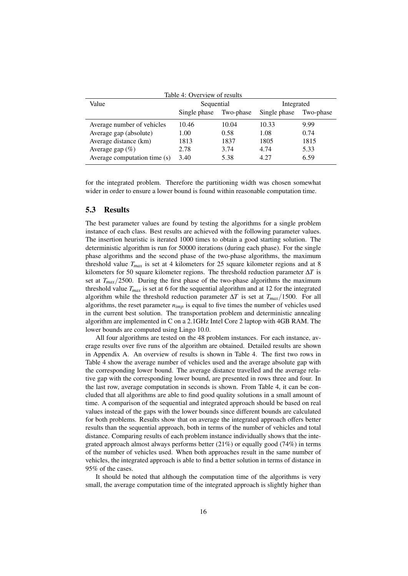| Table 4: Overview of results |              |           |              |           |  |  |  |  |
|------------------------------|--------------|-----------|--------------|-----------|--|--|--|--|
| Value                        | Sequential   |           | Integrated   |           |  |  |  |  |
|                              | Single phase | Two-phase | Single phase | Two-phase |  |  |  |  |
| Average number of vehicles   | 10.46        | 10.04     | 10.33        | 9.99      |  |  |  |  |
| Average gap (absolute)       | 1.00         | 0.58      | 1.08         | 0.74      |  |  |  |  |
| Average distance (km)        | 1813         | 1837      | 1805         | 1815      |  |  |  |  |
| Average gap $(\%)$           | 2.78         | 3.74      | 4.74         | 5.33      |  |  |  |  |
| Average computation time (s) | 3.40         | 5.38      | 4.27         | 6.59      |  |  |  |  |

for the integrated problem. Therefore the partitioning width was chosen somewhat wider in order to ensure a lower bound is found within reasonable computation time.

### 5.3 Results

The best parameter values are found by testing the algorithms for a single problem instance of each class. Best results are achieved with the following parameter values. The insertion heuristic is iterated 1000 times to obtain a good starting solution. The deterministic algorithm is run for 50000 iterations (during each phase). For the single phase algorithms and the second phase of the two-phase algorithms, the maximum threshold value  $T_{max}$  is set at 4 kilometers for 25 square kilometer regions and at 8 kilometers for 50 square kilometer regions. The threshold reduction parameter ∆*T* is set at *Tmax/*2500. During the first phase of the two-phase algorithms the maximum threshold value  $T_{max}$  is set at 6 for the sequential algorithm and at 12 for the integrated algorithm while the threshold reduction parameter  $\Delta T$  is set at  $T_{max}/1500$ . For all algorithms, the reset parameter  $n_{imp}$  is equal to five times the number of vehicles used in the current best solution. The transportation problem and deterministic annealing algorithm are implemented in C on a 2.1GHz Intel Core 2 laptop with 4GB RAM. The lower bounds are computed using Lingo 10.0.

All four algorithms are tested on the 48 problem instances. For each instance, average results over five runs of the algorithm are obtained. Detailed results are shown in Appendix A. An overview of results is shown in Table 4. The first two rows in Table 4 show the average number of vehicles used and the average absolute gap with the corresponding lower bound. The average distance travelled and the average relative gap with the corresponding lower bound, are presented in rows three and four. In the last row, average computation in seconds is shown. From Table 4, it can be concluded that all algorithms are able to find good quality solutions in a small amount of time. A comparison of the sequential and integrated approach should be based on real values instead of the gaps with the lower bounds since different bounds are calculated for both problems. Results show that on average the integrated approach offers better results than the sequential approach, both in terms of the number of vehicles and total distance. Comparing results of each problem instance individually shows that the integrated approach almost always performs better (21%) or equally good (74%) in terms of the number of vehicles used. When both approaches result in the same number of vehicles, the integrated approach is able to find a better solution in terms of distance in 95% of the cases.

It should be noted that although the computation time of the algorithms is very small, the average computation time of the integrated approach is slightly higher than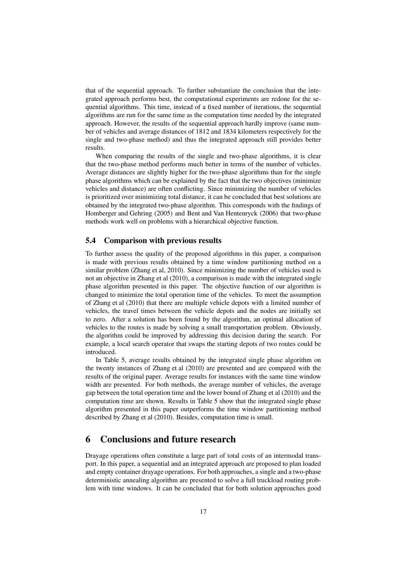that of the sequential approach. To further substantiate the conclusion that the integrated approach performs best, the computational experiments are redone for the sequential algorithms. This time, instead of a fixed number of iterations, the sequential algorithms are run for the same time as the computation time needed by the integrated approach. However, the results of the sequential approach hardly improve (same number of vehicles and average distances of 1812 and 1834 kilometers respectively for the single and two-phase method) and thus the integrated approach still provides better results.

When comparing the results of the single and two-phase algorithms, it is clear that the two-phase method performs much better in terms of the number of vehicles. Average distances are slightly higher for the two-phase algorithms than for the single phase algorithms which can be explained by the fact that the two objectives (minimize vehicles and distance) are often conflicting. Since minimizing the number of vehicles is prioritized over minimizing total distance, it can be concluded that best solutions are obtained by the integrated two-phase algorithm. This corresponds with the findings of Homberger and Gehring (2005) and Bent and Van Hentenryck (2006) that two-phase methods work well on problems with a hierarchical objective function.

#### 5.4 Comparison with previous results

To further assess the quality of the proposed algorithms in this paper, a comparison is made with previous results obtained by a time window partitioning method on a similar problem (Zhang et al, 2010). Since minimizing the number of vehicles used is not an objective in Zhang et al (2010), a comparison is made with the integrated single phase algorithm presented in this paper. The objective function of our algorithm is changed to minimize the total operation time of the vehicles. To meet the assumption of Zhang et al (2010) that there are multiple vehicle depots with a limited number of vehicles, the travel times between the vehicle depots and the nodes are initially set to zero. After a solution has been found by the algorithm, an optimal allocation of vehicles to the routes is made by solving a small transportation problem. Obviously, the algorithm could be improved by addressing this decision during the search. For example, a local search operator that swaps the starting depots of two routes could be introduced.

In Table 5, average results obtained by the integrated single phase algorithm on the twenty instances of Zhang et al (2010) are presented and are compared with the results of the original paper. Average results for instances with the same time window width are presented. For both methods, the average number of vehicles, the average gap between the total operation time and the lower bound of Zhang et al (2010) and the computation time are shown. Results in Table 5 show that the integrated single phase algorithm presented in this paper outperforms the time window partitioning method described by Zhang et al (2010). Besides, computation time is small.

# 6 Conclusions and future research

Drayage operations often constitute a large part of total costs of an intermodal transport. In this paper, a sequential and an integrated approach are proposed to plan loaded and empty container drayage operations. For both approaches, a single and a two-phase deterministic annealing algorithm are presented to solve a full truckload routing problem with time windows. It can be concluded that for both solution approaches good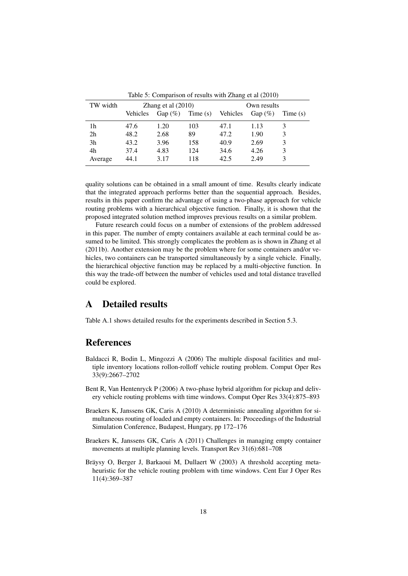| TW width       |                        | Zhang et al $(2010)$ |            | Own results            |      |            |  |
|----------------|------------------------|----------------------|------------|------------------------|------|------------|--|
|                | Gap $(\%)$<br>Vehicles |                      | Time $(s)$ | Vehicles<br>Gap $(\%)$ |      | Time $(s)$ |  |
| 1h             | 47.6                   | 1.20                 | 103        | 47.1                   | 1.13 |            |  |
| 2 <sub>h</sub> | 48.2                   | 2.68                 | 89         | 47.2                   | 1.90 |            |  |
| 3h             | 43.2                   | 3.96                 | 158        | 40.9                   | 2.69 | 3          |  |
| 4h             | 37.4                   | 4.83                 | 124        | 34.6                   | 4.26 | 3          |  |
| Average        | 44.1                   | 3.17                 | 118        | 42.5                   | 2.49 |            |  |

Table 5: Comparison of results with Zhang et al (2010)

quality solutions can be obtained in a small amount of time. Results clearly indicate that the integrated approach performs better than the sequential approach. Besides, results in this paper confirm the advantage of using a two-phase approach for vehicle routing problems with a hierarchical objective function. Finally, it is shown that the proposed integrated solution method improves previous results on a similar problem.

Future research could focus on a number of extensions of the problem addressed in this paper. The number of empty containers available at each terminal could be assumed to be limited. This strongly complicates the problem as is shown in Zhang et al (2011b). Another extension may be the problem where for some containers and/or vehicles, two containers can be transported simultaneously by a single vehicle. Finally, the hierarchical objective function may be replaced by a multi-objective function. In this way the trade-off between the number of vehicles used and total distance travelled could be explored.

# A Detailed results

Table A.1 shows detailed results for the experiments described in Section 5.3.

### References

- Baldacci R, Bodin L, Mingozzi A (2006) The multiple disposal facilities and multiple inventory locations rollon-rolloff vehicle routing problem. Comput Oper Res 33(9):2667–2702
- Bent R, Van Hentenryck P (2006) A two-phase hybrid algorithm for pickup and delivery vehicle routing problems with time windows. Comput Oper Res 33(4):875–893
- Braekers K, Janssens GK, Caris A (2010) A deterministic annealing algorithm for simultaneous routing of loaded and empty containers. In: Proceedings of the Industrial Simulation Conference, Budapest, Hungary, pp 172–176
- Braekers K, Janssens GK, Caris A (2011) Challenges in managing empty container movements at multiple planning levels. Transport Rev 31(6):681–708
- Bräysy O, Berger J, Barkaoui M, Dullaert W (2003) A threshold accepting metaheuristic for the vehicle routing problem with time windows. Cent Eur J Oper Res 11(4):369–387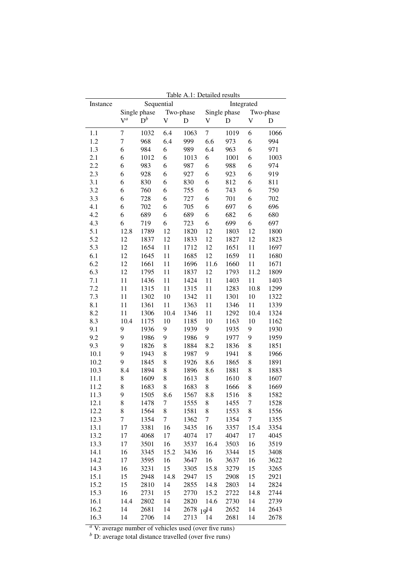| Table A.1: Detailed results |                |                |           |                         |                  |             |                         |      |
|-----------------------------|----------------|----------------|-----------|-------------------------|------------------|-------------|-------------------------|------|
| Instance                    | Sequential     |                |           |                         | Integrated       |             |                         |      |
|                             | Single phase   |                | Two-phase |                         | Single phase     |             | Two-phase               |      |
|                             | $V^a$          | $\mathbf{D}^b$ | V         | D                       | V                | $\mathbf D$ | $\overline{\mathsf{V}}$ | D    |
|                             |                |                |           |                         |                  |             |                         |      |
| 1.1                         | $\overline{7}$ | 1032           | 6.4       | 1063                    | $\boldsymbol{7}$ | 1019        | 6                       | 1066 |
| 1.2                         | $\overline{7}$ | 968            | 6.4       | 999                     | 6.6              | 973         | 6                       | 994  |
| 1.3                         | 6              | 984            | 6         | 989                     | 6.4              | 963         | 6                       | 971  |
| 2.1                         | 6              | 1012           | 6         | 1013                    | 6                | 1001        | 6                       | 1003 |
| 2.2                         | 6              | 983            | 6         | 987                     | 6                | 988         | 6                       | 974  |
| 2.3                         | 6              | 928            | 6         | 927                     | 6                | 923         | 6                       | 919  |
| 3.1                         | 6              | 830            | 6         | 830                     | 6                | 812         | 6                       | 811  |
| 3.2                         | 6              | 760            | 6         | 755                     | 6                | 743         | 6                       | 750  |
| 3.3                         | 6              | 728            | 6         | 727                     | 6                | 701         | 6                       | 702  |
| 4.1                         | 6              | 702            | 6         | 705                     | 6                | 697         | 6                       | 696  |
| 4.2                         | 6              | 689            | 6         | 689                     | 6                | 682         | 6                       | 680  |
| 4.3                         | 6              | 719            | 6         | 723                     | 6                | 699         | 6                       | 697  |
| 5.1                         | 12.8           | 1789           | 12        | 1820                    | 12               | 1803        | 12                      | 1800 |
| 5.2                         | 12             | 1837           | 12        | 1833                    | 12               | 1827        | 12                      | 1823 |
| 5.3                         | 12             | 1654           | 11        | 1712                    | 12               | 1651        | 11                      | 1697 |
| 6.1                         | 12             | 1645           | 11        | 1685                    | 12               | 1659        | 11                      | 1680 |
| 6.2                         | 12             | 1661           | 11        | 1696                    | 11.6             | 1660        | 11                      | 1671 |
| 6.3                         | 12             | 1795           | 11        | 1837                    | 12               | 1793        | 11.2                    | 1809 |
| 7.1                         | 11             | 1436           | 11        | 1424                    | 11               | 1403        | 11                      | 1403 |
| 7.2                         | 11             | 1315           | 11        | 1315                    | 11               | 1283        | 10.8                    | 1299 |
| 7.3                         | 11             | 1302           | 10        | 1342                    | 11               | 1301        | 10                      | 1322 |
| 8.1                         | 11             | 1361           | 11        | 1363                    | 11               | 1346        | 11                      | 1339 |
| 8.2                         | 11             | 1306           | 10.4      | 1346                    | 11               | 1292        | 10.4                    | 1324 |
| 8.3                         | 10.4           | 1175           | 10        | 1185                    | 10               | 1163        | 10                      | 1162 |
| 9.1                         | 9              | 1936           | 9         | 1939                    | 9                | 1935        | 9                       | 1930 |
| 9.2                         | 9              | 1986           | 9         | 1986                    | 9                | 1977        | 9                       | 1959 |
| 9.3                         | 9              | 1826           | 8         | 1884                    | 8.2              | 1836        | 8                       | 1851 |
| 10.1                        | 9              | 1943           | 8         | 1987                    | 9                | 1941        | 8                       | 1966 |
| 10.2                        | 9              | 1845           | 8         | 1926                    | 8.6              | 1865        | 8                       | 1891 |
| 10.3                        | 8.4            | 1894           | 8         | 1896                    | 8.6              | 1881        | 8                       | 1883 |
| 11.1                        | 8              | 1609           | 8         | 1613                    | 8                | 1610        | 8                       | 1607 |
| 11.2                        | 8              | 1683           | 8         | 1683                    | 8                | 1666        | 8                       | 1669 |
| 11.3                        | 9              | 1505           | 8.6       | 1567                    | 8.8              | 1516        | 8                       | 1582 |
| 12.1                        | 8              | 1478           | 7         | 1555                    | 8                | 1455        | 7                       | 1528 |
| 12.2                        | 8              | 1564           | 8         | 1581                    | 8                | 1553        | 8                       | 1556 |
| 12.3                        | 7              | 1354           | 7         | 1362                    | $\tau$           | 1354        | 7                       | 1355 |
| 13.1                        | 17             | 3381           | 16        | 3435                    | 16               | 3357        | 15.4                    | 3354 |
| 13.2                        | 17             | 4068           | 17        | 4074                    | 17               | 4047        | 17                      | 4045 |
| 13.3                        | 17             | 3501           | 16        | 3537                    | 16.4             | 3503        | 16                      | 3519 |
| 14.1                        | 16             | 3345           | 15.2      | 3436                    | 16               | 3344        | 15                      | 3408 |
| 14.2                        | 17             | 3595           | 16        | 3647                    | 16               | 3637        | 16                      | 3622 |
| 14.3                        | 16             | 3231           | 15        | 3305                    | 15.8             | 3279        | 15                      | 3265 |
|                             | 15             | 2948           | 14.8      |                         | 15               | 2908        | 15                      |      |
| 15.1                        |                |                |           | 2947                    |                  |             |                         | 2921 |
| 15.2                        | 15             | 2810           | 14        | 2855                    | 14.8             | 2803        | 14                      | 2824 |
| 15.3                        | 16             | 2731           | 15        | 2770                    | 15.2             | 2722        | 14.8                    | 2744 |
| 16.1                        | 14.4           | 2802           | 14        | 2820                    | 14.6             | 2730        | 14                      | 2739 |
| 16.2                        | 14             | 2681           | 14        | $2678$ 19 <sup>14</sup> |                  | 2652        | 14                      | 2643 |
| 16.3                        | 14             | 2706           | 14        | 2713                    | 14               | 2681        | 14                      | 2678 |

*<sup>a</sup>* V: average number of vehicles used (over five runs)

*<sup>b</sup>* D: average total distance travelled (over five runs)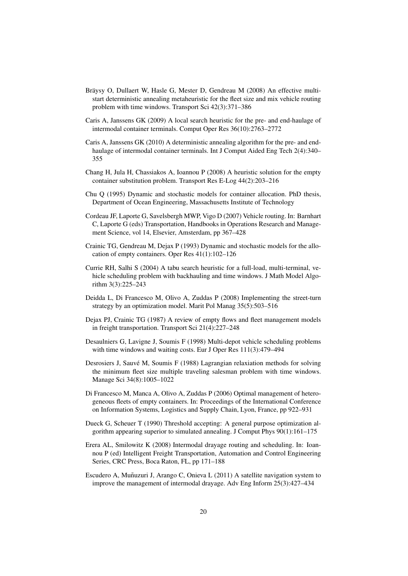- Bräysy O, Dullaert W, Hasle G, Mester D, Gendreau M (2008) An effective multistart deterministic annealing metaheuristic for the fleet size and mix vehicle routing problem with time windows. Transport Sci 42(3):371–386
- Caris A, Janssens GK (2009) A local search heuristic for the pre- and end-haulage of intermodal container terminals. Comput Oper Res 36(10):2763–2772
- Caris A, Janssens GK (2010) A deterministic annealing algorithm for the pre- and endhaulage of intermodal container terminals. Int J Comput Aided Eng Tech 2(4):340– 355
- Chang H, Jula H, Chassiakos A, Ioannou P (2008) A heuristic solution for the empty container substitution problem. Transport Res E-Log 44(2):203–216
- Chu Q (1995) Dynamic and stochastic models for container allocation. PhD thesis, Department of Ocean Engineering, Massachusetts Institute of Technology
- Cordeau JF, Laporte G, Savelsbergh MWP, Vigo D (2007) Vehicle routing. In: Barnhart C, Laporte G (eds) Transportation, Handbooks in Operations Research and Management Science, vol 14, Elsevier, Amsterdam, pp 367–428
- Crainic TG, Gendreau M, Dejax P (1993) Dynamic and stochastic models for the allocation of empty containers. Oper Res 41(1):102–126
- Currie RH, Salhi S (2004) A tabu search heuristic for a full-load, multi-terminal, vehicle scheduling problem with backhauling and time windows. J Math Model Algorithm 3(3):225–243
- Deidda L, Di Francesco M, Olivo A, Zuddas P (2008) Implementing the street-turn strategy by an optimization model. Marit Pol Manag 35(5):503–516
- Dejax PJ, Crainic TG (1987) A review of empty flows and fleet management models in freight transportation. Transport Sci 21(4):227–248
- Desaulniers G, Lavigne J, Soumis F (1998) Multi-depot vehicle scheduling problems with time windows and waiting costs. Eur J Oper Res 111(3):479–494
- Desrosiers J, Sauvé M, Soumis F (1988) Lagrangian relaxiation methods for solving the minimum fleet size multiple traveling salesman problem with time windows. Manage Sci 34(8):1005–1022
- Di Francesco M, Manca A, Olivo A, Zuddas P (2006) Optimal management of heterogeneous fleets of empty containers. In: Proceedings of the International Conference on Information Systems, Logistics and Supply Chain, Lyon, France, pp 922–931
- Dueck G, Scheuer T (1990) Threshold accepting: A general purpose optimization algorithm appearing superior to simulated annealing. J Comput Phys 90(1):161–175
- Erera AL, Smilowitz K (2008) Intermodal drayage routing and scheduling. In: Ioannou P (ed) Intelligent Freight Transportation, Automation and Control Engineering Series, CRC Press, Boca Raton, FL, pp 171–188
- Escudero A, Muñuzuri J, Arango C, Onieva L (2011) A satellite navigation system to improve the management of intermodal drayage. Adv Eng Inform 25(3):427–434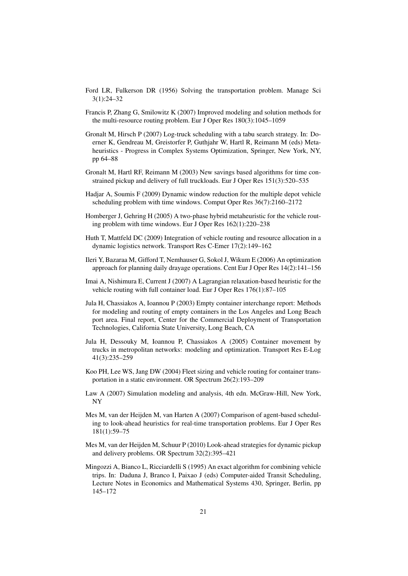- Ford LR, Fulkerson DR (1956) Solving the transportation problem. Manage Sci 3(1):24–32
- Francis P, Zhang G, Smilowitz K (2007) Improved modeling and solution methods for the multi-resource routing problem. Eur J Oper Res 180(3):1045–1059
- Gronalt M, Hirsch P (2007) Log-truck scheduling with a tabu search strategy. In: Doerner K, Gendreau M, Greistorfer P, Guthjahr W, Hartl R, Reimann M (eds) Metaheuristics - Progress in Complex Systems Optimization, Springer, New York, NY, pp 64–88
- Gronalt M, Hartl RF, Reimann M (2003) New savings based algorithms for time constrained pickup and delivery of full truckloads. Eur J Oper Res 151(3):520–535
- Hadjar A, Soumis F (2009) Dynamic window reduction for the multiple depot vehicle scheduling problem with time windows. Comput Oper Res 36(7):2160–2172
- Homberger J, Gehring H (2005) A two-phase hybrid metaheuristic for the vehicle routing problem with time windows. Eur J Oper Res 162(1):220–238
- Huth T, Mattfeld DC (2009) Integration of vehicle routing and resource allocation in a dynamic logistics network. Transport Res C-Emer 17(2):149–162
- Ileri Y, Bazaraa M, Gifford T, Nemhauser G, Sokol J, Wikum E (2006) An optimization approach for planning daily drayage operations. Cent Eur J Oper Res 14(2):141–156
- Imai A, Nishimura E, Current J (2007) A Lagrangian relaxation-based heuristic for the vehicle routing with full container load. Eur J Oper Res 176(1):87–105
- Jula H, Chassiakos A, Ioannou P (2003) Empty container interchange report: Methods for modeling and routing of empty containers in the Los Angeles and Long Beach port area. Final report, Center for the Commercial Deployment of Transportation Technologies, California State University, Long Beach, CA
- Jula H, Dessouky M, Ioannou P, Chassiakos A (2005) Container movement by trucks in metropolitan networks: modeling and optimization. Transport Res E-Log 41(3):235–259
- Koo PH, Lee WS, Jang DW (2004) Fleet sizing and vehicle routing for container transportation in a static environment. OR Spectrum 26(2):193–209
- Law A (2007) Simulation modeling and analysis, 4th edn. McGraw-Hill, New York, NY
- Mes M, van der Heijden M, van Harten A (2007) Comparison of agent-based scheduling to look-ahead heuristics for real-time transportation problems. Eur J Oper Res 181(1):59–75
- Mes M, van der Heijden M, Schuur P (2010) Look-ahead strategies for dynamic pickup and delivery problems. OR Spectrum 32(2):395–421
- Mingozzi A, Bianco L, Ricciardelli S (1995) An exact algorithm for combining vehicle trips. In: Daduna J, Branco I, Paixao J (eds) Computer-aided Transit Scheduling, Lecture Notes in Economics and Mathematical Systems 430, Springer, Berlin, pp 145–172